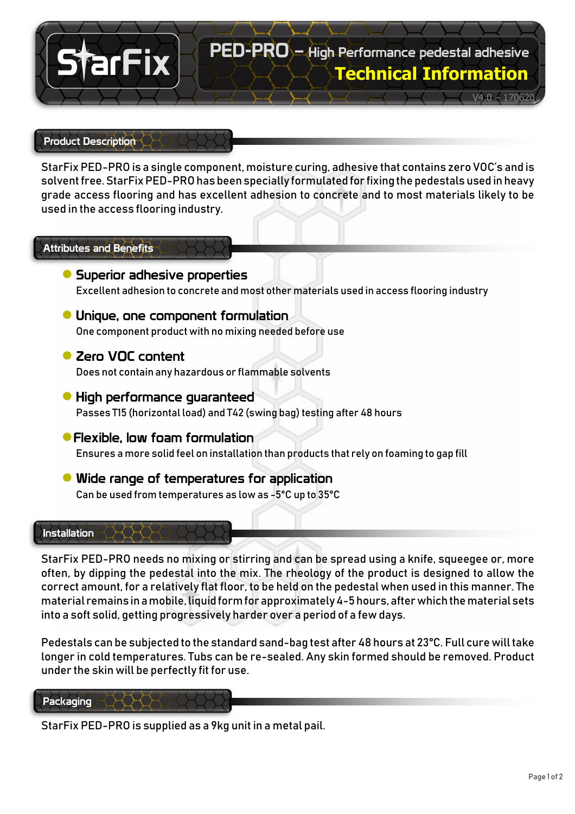

#### Product Description

StarFix PED-PRO is a single component, moisture curing, adhesive that contains zero VOC's and is solvent free. StarFix PED-PRO has been specially formulated for fixing the pedestals used in heavy grade access flooring and has excellent adhesion to concrete and to most materials likely to be used in the access flooring industry.

### Attributes and Benefits

- **●** Superior adhesive properties Excellent adhesion to concrete and most other materials used in access flooring industry
- **●** Unique, one component formulation One component product with no mixing needed before use
- **●** Zero VOC content

Does not contain any hazardous or flammable solvents

- **●** High performance guaranteed Passes T15 (horizontal load) and T42 (swing bag) testing after 48 hours
- **●**Flexible, low foam formulation Ensures a more solid feel on installation than products that rely on foaming to gap fill
- **●** Wide range of temperatures for application Can be used from temperatures as low as -5°C up to 35°C

#### Installation

StarFix PED-PRO needs no mixing or stirring and can be spread using a knife, squeegee or, more often, by dipping the pedestal into the mix. The rheology of the product is designed to allow the correct amount, for a relatively flat floor, to be held on the pedestal when used in this manner. The material remains in a mobile, liquid form for approximately 4-5 hours, after which the material sets into a soft solid, getting progressively harder over a period of a few days.

Pedestals can be subjected to the standard sand-bag test after 48 hours at 23°C. Full cure will take longer in cold temperatures. Tubs can be re-sealed. Any skin formed should be removed. Product under the skin will be perfectly fit for use.

#### Packaging

StarFix PED-PRO is supplied as a 9kg unit in a metal pail.